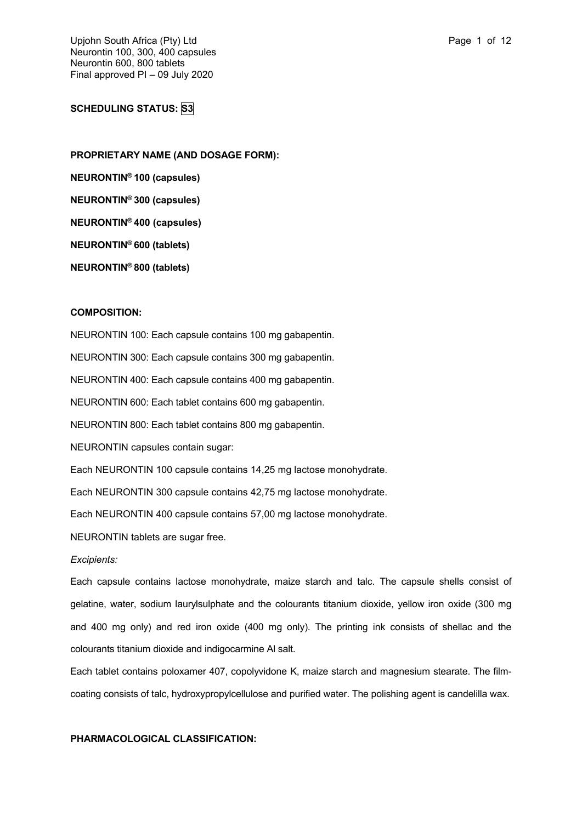## **SCHEDULING STATUS: S3**

**PROPRIETARY NAME (AND DOSAGE FORM):**

**NEURONTIN® 100 (capsules)**

**NEURONTIN® 300 (capsules)**

**NEURONTIN® 400 (capsules)**

**NEURONTIN® 600 (tablets)**

**NEURONTIN® 800 (tablets)**

## **COMPOSITION:**

NEURONTIN 100: Each capsule contains 100 mg gabapentin. NEURONTIN 300: Each capsule contains 300 mg gabapentin. NEURONTIN 400: Each capsule contains 400 mg gabapentin. NEURONTIN 600: Each tablet contains 600 mg gabapentin. NEURONTIN 800: Each tablet contains 800 mg gabapentin. NEURONTIN capsules contain sugar: Each NEURONTIN 100 capsule contains 14,25 mg lactose monohydrate. Each NEURONTIN 300 capsule contains 42,75 mg lactose monohydrate. Each NEURONTIN 400 capsule contains 57,00 mg lactose monohydrate.

NEURONTIN tablets are sugar free.

#### *Excipients:*

Each capsule contains lactose monohydrate, maize starch and talc. The capsule shells consist of gelatine, water, sodium laurylsulphate and the colourants titanium dioxide, yellow iron oxide (300 mg and 400 mg only) and red iron oxide (400 mg only). The printing ink consists of shellac and the colourants titanium dioxide and indigocarmine Al salt.

Each tablet contains poloxamer 407, copolyvidone K, maize starch and magnesium stearate. The filmcoating consists of talc, hydroxypropylcellulose and purified water. The polishing agent is candelilla wax.

#### **PHARMACOLOGICAL CLASSIFICATION:**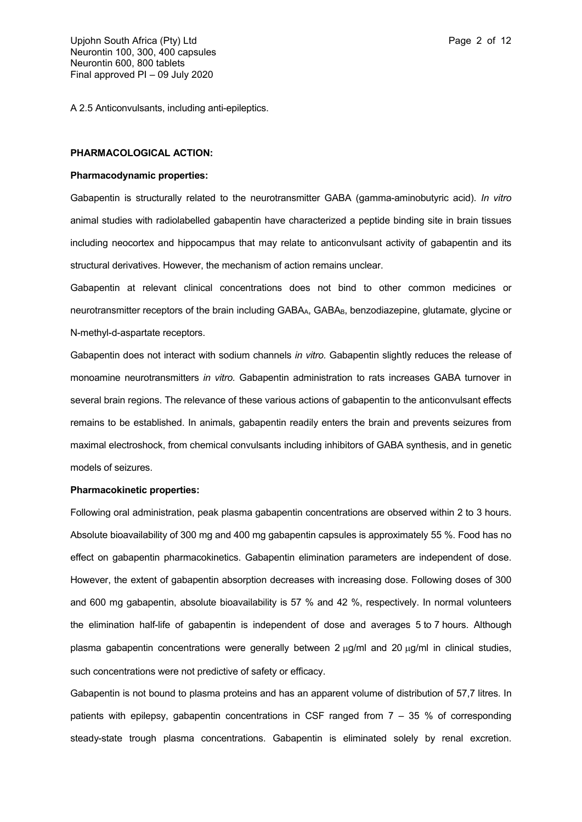A 2.5 Anticonvulsants, including anti-epileptics.

#### **PHARMACOLOGICAL ACTION:**

#### **Pharmacodynamic properties:**

Gabapentin is structurally related to the neurotransmitter GABA (gamma-aminobutyric acid). *In vitro* animal studies with radiolabelled gabapentin have characterized a peptide binding site in brain tissues including neocortex and hippocampus that may relate to anticonvulsant activity of gabapentin and its structural derivatives. However, the mechanism of action remains unclear.

Gabapentin at relevant clinical concentrations does not bind to other common medicines or neurotransmitter receptors of the brain including GABA<sub>A</sub>, GABA<sub>B</sub>, benzodiazepine, glutamate, glycine or N-methyl-d-aspartate receptors.

Gabapentin does not interact with sodium channels *in vitro.* Gabapentin slightly reduces the release of monoamine neurotransmitters *in vitro.* Gabapentin administration to rats increases GABA turnover in several brain regions. The relevance of these various actions of gabapentin to the anticonvulsant effects remains to be established. In animals, gabapentin readily enters the brain and prevents seizures from maximal electroshock, from chemical convulsants including inhibitors of GABA synthesis, and in genetic models of seizures.

#### **Pharmacokinetic properties:**

Following oral administration, peak plasma gabapentin concentrations are observed within 2 to 3 hours. Absolute bioavailability of 300 mg and 400 mg gabapentin capsules is approximately 55 %. Food has no effect on gabapentin pharmacokinetics. Gabapentin elimination parameters are independent of dose. However, the extent of gabapentin absorption decreases with increasing dose. Following doses of 300 and 600 mg gabapentin, absolute bioavailability is 57 % and 42 %, respectively. In normal volunteers the elimination half-life of gabapentin is independent of dose and averages 5 to 7 hours. Although plasma gabapentin concentrations were generally between 2  $\mu q/ml$  and 20  $\mu q/ml$  in clinical studies, such concentrations were not predictive of safety or efficacy.

Gabapentin is not bound to plasma proteins and has an apparent volume of distribution of 57,7 litres. In patients with epilepsy, gabapentin concentrations in CSF ranged from 7 – 35 % of corresponding steady-state trough plasma concentrations. Gabapentin is eliminated solely by renal excretion.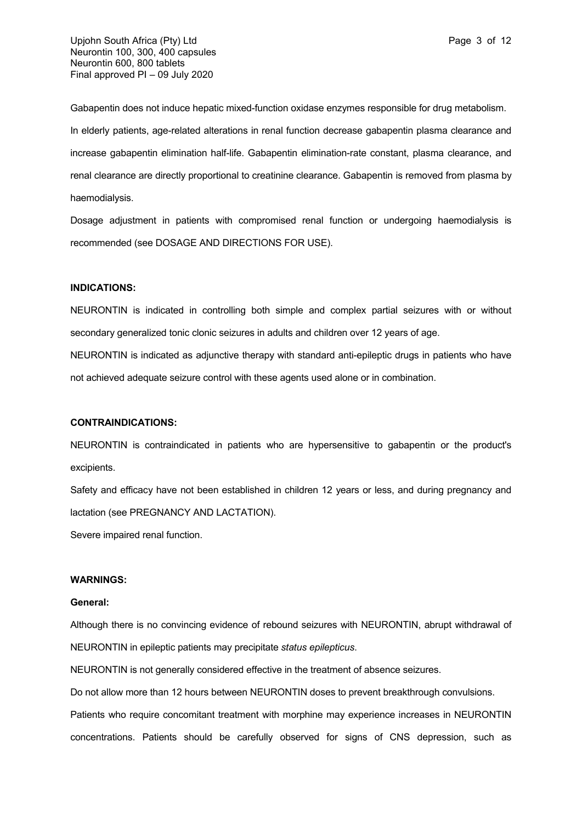Gabapentin does not induce hepatic mixed-function oxidase enzymes responsible for drug metabolism. In elderly patients, age-related alterations in renal function decrease gabapentin plasma clearance and increase gabapentin elimination half-life. Gabapentin elimination-rate constant, plasma clearance, and renal clearance are directly proportional to creatinine clearance. Gabapentin is removed from plasma by haemodialysis.

Dosage adjustment in patients with compromised renal function or undergoing haemodialysis is recommended (see DOSAGE AND DIRECTIONS FOR USE).

#### **INDICATIONS:**

NEURONTIN is indicated in controlling both simple and complex partial seizures with or without secondary generalized tonic clonic seizures in adults and children over 12 years of age.

NEURONTIN is indicated as adjunctive therapy with standard anti-epileptic drugs in patients who have not achieved adequate seizure control with these agents used alone or in combination.

#### **CONTRAINDICATIONS:**

NEURONTIN is contraindicated in patients who are hypersensitive to gabapentin or the product's excipients.

Safety and efficacy have not been established in children 12 years or less, and during pregnancy and lactation (see PREGNANCY AND LACTATION).

Severe impaired renal function.

### **WARNINGS:**

#### **General:**

Although there is no convincing evidence of rebound seizures with NEURONTIN, abrupt withdrawal of NEURONTIN in epileptic patients may precipitate *status epilepticus*.

NEURONTIN is not generally considered effective in the treatment of absence seizures.

Do not allow more than 12 hours between NEURONTIN doses to prevent breakthrough convulsions.

Patients who require concomitant treatment with morphine may experience increases in NEURONTIN concentrations. Patients should be carefully observed for signs of CNS depression, such as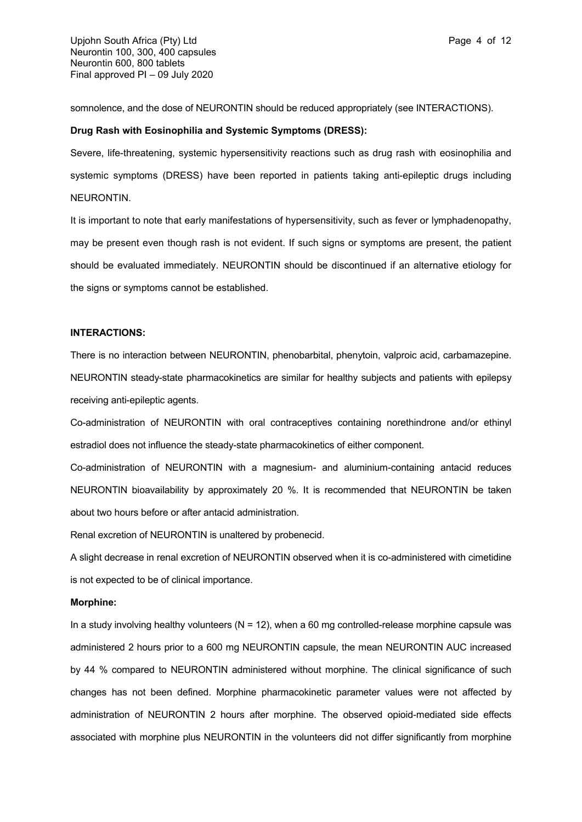somnolence, and the dose of NEURONTIN should be reduced appropriately (see INTERACTIONS).

#### **Drug Rash with Eosinophilia and Systemic Symptoms (DRESS):**

Severe, life-threatening, systemic hypersensitivity reactions such as drug rash with eosinophilia and systemic symptoms (DRESS) have been reported in patients taking anti-epileptic drugs including NEURONTIN.

It is important to note that early manifestations of hypersensitivity, such as fever or lymphadenopathy, may be present even though rash is not evident. If such signs or symptoms are present, the patient should be evaluated immediately. NEURONTIN should be discontinued if an alternative etiology for the signs or symptoms cannot be established.

#### **INTERACTIONS:**

There is no interaction between NEURONTIN, phenobarbital, phenytoin, valproic acid, carbamazepine. NEURONTIN steady-state pharmacokinetics are similar for healthy subjects and patients with epilepsy receiving anti-epileptic agents.

Co-administration of NEURONTIN with oral contraceptives containing norethindrone and/or ethinyl estradiol does not influence the steady-state pharmacokinetics of either component.

Co-administration of NEURONTIN with a magnesium- and aluminium-containing antacid reduces NEURONTIN bioavailability by approximately 20 %. It is recommended that NEURONTIN be taken about two hours before or after antacid administration.

Renal excretion of NEURONTIN is unaltered by probenecid.

A slight decrease in renal excretion of NEURONTIN observed when it is co-administered with cimetidine is not expected to be of clinical importance.

#### **Morphine:**

In a study involving healthy volunteers  $(N = 12)$ , when a 60 mg controlled-release morphine capsule was administered 2 hours prior to a 600 mg NEURONTIN capsule, the mean NEURONTIN AUC increased by 44 % compared to NEURONTIN administered without morphine. The clinical significance of such changes has not been defined. Morphine pharmacokinetic parameter values were not affected by administration of NEURONTIN 2 hours after morphine. The observed opioid-mediated side effects associated with morphine plus NEURONTIN in the volunteers did not differ significantly from morphine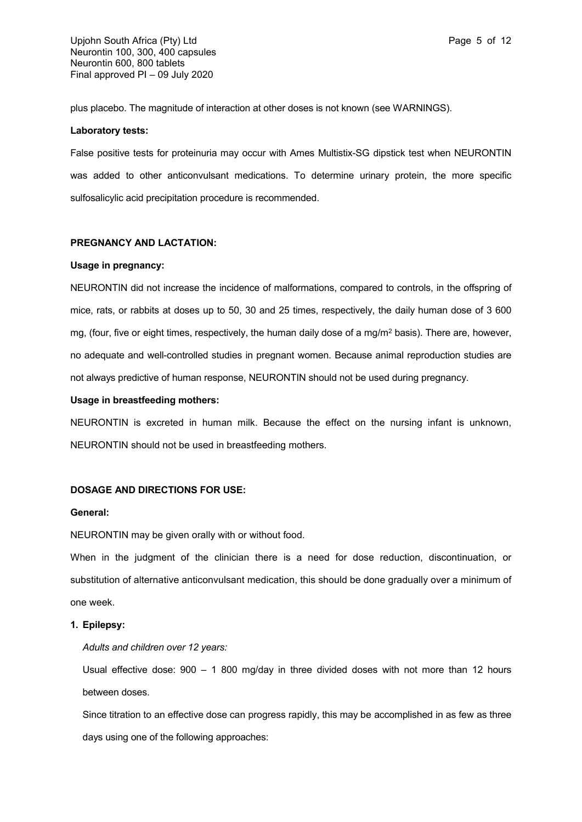plus placebo. The magnitude of interaction at other doses is not known (see WARNINGS).

#### **Laboratory tests:**

False positive tests for proteinuria may occur with Ames Multistix-SG dipstick test when NEURONTIN was added to other anticonvulsant medications. To determine urinary protein, the more specific sulfosalicylic acid precipitation procedure is recommended.

## **PREGNANCY AND LACTATION:**

#### **Usage in pregnancy:**

NEURONTIN did not increase the incidence of malformations, compared to controls, in the offspring of mice, rats, or rabbits at doses up to 50, 30 and 25 times, respectively, the daily human dose of 3 600 mg, (four, five or eight times, respectively, the human daily dose of a mg/m<sup>2</sup> basis). There are, however, no adequate and well-controlled studies in pregnant women. Because animal reproduction studies are not always predictive of human response, NEURONTIN should not be used during pregnancy.

#### **Usage in breastfeeding mothers:**

NEURONTIN is excreted in human milk. Because the effect on the nursing infant is unknown, NEURONTIN should not be used in breastfeeding mothers.

#### **DOSAGE AND DIRECTIONS FOR USE:**

#### **General:**

NEURONTIN may be given orally with or without food.

When in the judgment of the clinician there is a need for dose reduction, discontinuation, or substitution of alternative anticonvulsant medication, this should be done gradually over a minimum of one week.

#### **1. Epilepsy:**

*Adults and children over 12 years:*

Usual effective dose: 900 – 1 800 mg/day in three divided doses with not more than 12 hours between doses.

Since titration to an effective dose can progress rapidly, this may be accomplished in as few as three days using one of the following approaches: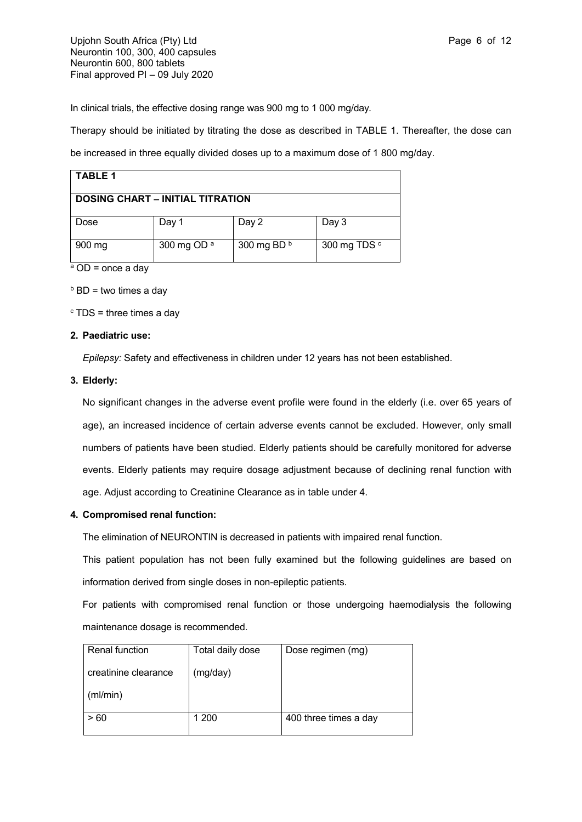In clinical trials, the effective dosing range was 900 mg to 1 000 mg/day.

Therapy should be initiated by titrating the dose as described in TABLE 1. Thereafter, the dose can

be increased in three equally divided doses up to a maximum dose of 1 800 mg/day.

| <b>TABLE 1</b>                          |                        |             |              |  |  |
|-----------------------------------------|------------------------|-------------|--------------|--|--|
| <b>DOSING CHART - INITIAL TITRATION</b> |                        |             |              |  |  |
| Dose                                    | Day 1                  | Day 2       | Day 3        |  |  |
| 900 mg                                  | 300 mg OD <sup>a</sup> | 300 mg BD b | 300 mg TDS c |  |  |

 $a$  OD = once a day

 $b$  BD = two times a day

 $c$  TDS = three times a day

#### **2. Paediatric use:**

*Epilepsy:* Safety and effectiveness in children under 12 years has not been established.

#### **3. Elderly:**

No significant changes in the adverse event profile were found in the elderly (i.e. over 65 years of age), an increased incidence of certain adverse events cannot be excluded. However, only small numbers of patients have been studied. Elderly patients should be carefully monitored for adverse events. Elderly patients may require dosage adjustment because of declining renal function with age. Adjust according to Creatinine Clearance as in table under 4.

#### **4. Compromised renal function:**

The elimination of NEURONTIN is decreased in patients with impaired renal function.

This patient population has not been fully examined but the following guidelines are based on information derived from single doses in non-epileptic patients.

For patients with compromised renal function or those undergoing haemodialysis the following maintenance dosage is recommended.

| Renal function       | Total daily dose | Dose regimen (mg)     |
|----------------------|------------------|-----------------------|
| creatinine clearance | (mg/day)         |                       |
| (ml/min)             |                  |                       |
| >60                  | 1 200            | 400 three times a day |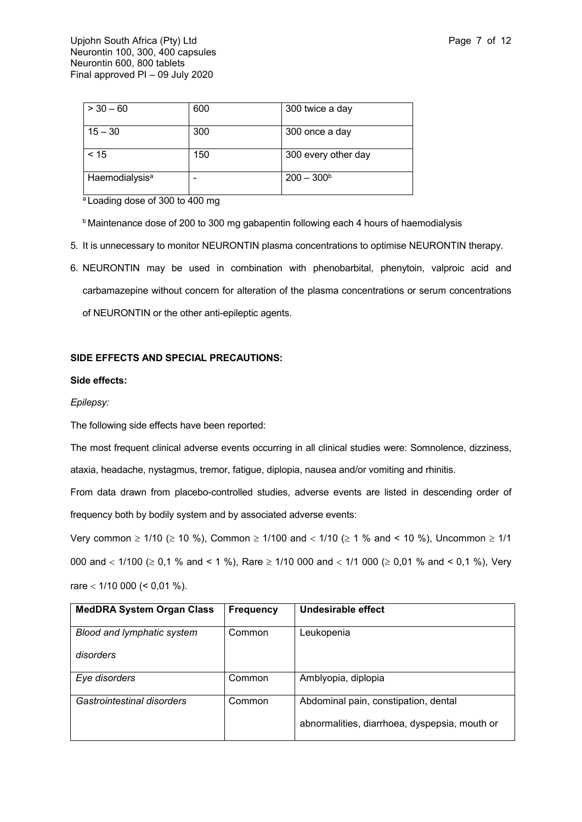| $> 30 - 60$                | 600 | 300 twice a day     |
|----------------------------|-----|---------------------|
| $15 - 30$                  | 300 | 300 once a day      |
| < 15                       | 150 | 300 every other day |
| Haemodialysis <sup>a</sup> | -   | $200 - 300b$        |

<sup>a</sup> Loading dose of 300 to 400 mg

**b** Maintenance dose of 200 to 300 mg gabapentin following each 4 hours of haemodialysis

- 5. It is unnecessary to monitor NEURONTIN plasma concentrations to optimise NEURONTIN therapy.
- 6. NEURONTIN may be used in combination with phenobarbital, phenytoin, valproic acid and carbamazepine without concern for alteration of the plasma concentrations or serum concentrations of NEURONTIN or the other anti-epileptic agents.

### **SIDE EFFECTS AND SPECIAL PRECAUTIONS:**

## **Side effects:**

#### *Epilepsy:*

The following side effects have been reported:

The most frequent clinical adverse events occurring in all clinical studies were: Somnolence, dizziness, ataxia, headache, nystagmus, tremor, fatigue, diplopia, nausea and/or vomiting and rhinitis.

From data drawn from placebo-controlled studies, adverse events are listed in descending order of frequency both by bodily system and by associated adverse events:

Very common  $\geq 1/10$  ( $\geq 10$  %), Common  $\geq 1/100$  and  $\lt 1/10$  ( $\geq 1$  % and  $\lt 10$  %), Uncommon  $\geq 1/1$ 000 and  $<$  1/100 ( $\geq$  0.1 % and  $<$  1 %), Rare  $\geq$  1/10 000 and  $<$  1/1 000 ( $\geq$  0.01 % and  $<$  0.1 %), Very rare  $<$  1/10 000 ( $<$  0.01 %).

| <b>MedDRA System Organ Class</b>  | <b>Frequency</b> | Undesirable effect                            |
|-----------------------------------|------------------|-----------------------------------------------|
| <b>Blood and lymphatic system</b> | Common           | Leukopenia                                    |
| disorders                         |                  |                                               |
| Eye disorders                     | Common           | Amblyopia, diplopia                           |
| Gastrointestinal disorders        | Common           | Abdominal pain, constipation, dental          |
|                                   |                  | abnormalities, diarrhoea, dyspepsia, mouth or |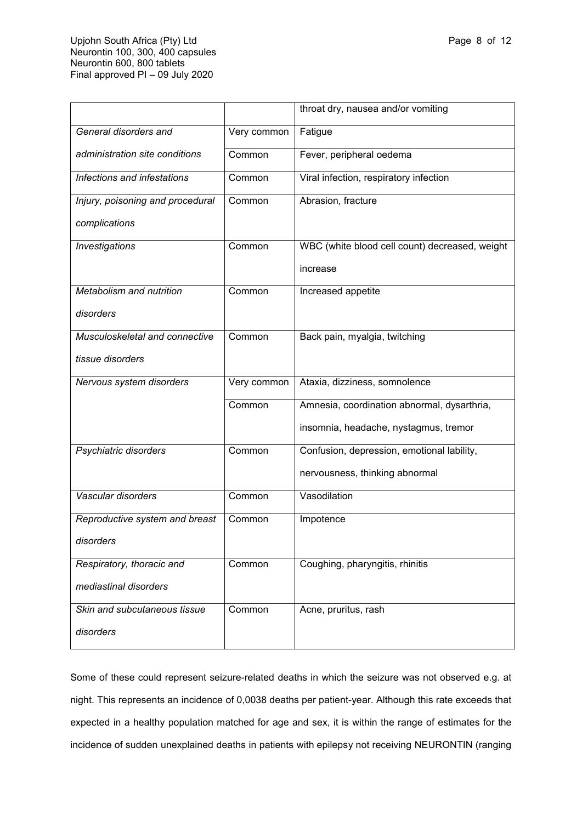|                                  |             | throat dry, nausea and/or vomiting             |
|----------------------------------|-------------|------------------------------------------------|
| General disorders and            | Very common | Fatigue                                        |
| administration site conditions   | Common      | Fever, peripheral oedema                       |
| Infections and infestations      | Common      | Viral infection, respiratory infection         |
| Injury, poisoning and procedural | Common      | Abrasion, fracture                             |
| complications                    |             |                                                |
| Investigations                   | Common      | WBC (white blood cell count) decreased, weight |
|                                  |             | increase                                       |
| Metabolism and nutrition         | Common      | Increased appetite                             |
| disorders                        |             |                                                |
| Musculoskeletal and connective   | Common      | Back pain, myalgia, twitching                  |
| tissue disorders                 |             |                                                |
| Nervous system disorders         | Very common | Ataxia, dizziness, somnolence                  |
|                                  | Common      | Amnesia, coordination abnormal, dysarthria,    |
|                                  |             | insomnia, headache, nystagmus, tremor          |
| Psychiatric disorders            | Common      | Confusion, depression, emotional lability,     |
|                                  |             | nervousness, thinking abnormal                 |
| Vascular disorders               | Common      | Vasodilation                                   |
| Reproductive system and breast   | Common      | Impotence                                      |
| disorders                        |             |                                                |
| Respiratory, thoracic and        | Common      | Coughing, pharyngitis, rhinitis                |
| mediastinal disorders            |             |                                                |
| Skin and subcutaneous tissue     | Common      | Acne, pruritus, rash                           |
| disorders                        |             |                                                |
|                                  |             |                                                |

Some of these could represent seizure-related deaths in which the seizure was not observed e.g. at night. This represents an incidence of 0,0038 deaths per patient-year. Although this rate exceeds that expected in a healthy population matched for age and sex, it is within the range of estimates for the incidence of sudden unexplained deaths in patients with epilepsy not receiving NEURONTIN (ranging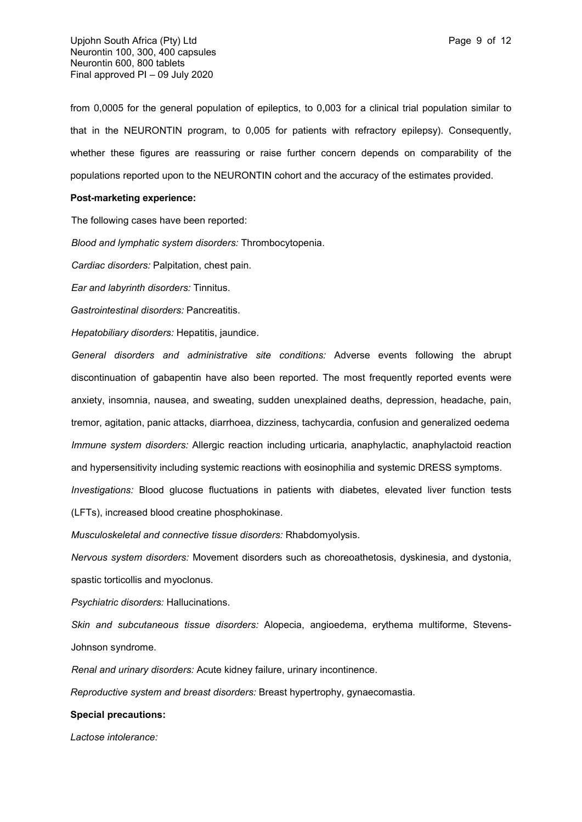from 0,0005 for the general population of epileptics, to 0,003 for a clinical trial population similar to that in the NEURONTIN program, to 0,005 for patients with refractory epilepsy). Consequently, whether these figures are reassuring or raise further concern depends on comparability of the populations reported upon to the NEURONTIN cohort and the accuracy of the estimates provided.

#### **Post-marketing experience:**

The following cases have been reported:

*Blood and lymphatic system disorders:* Thrombocytopenia.

*Cardiac disorders:* Palpitation, chest pain.

*Ear and labyrinth disorders:* Tinnitus.

*Gastrointestinal disorders:* Pancreatitis.

*Hepatobiliary disorders:* Hepatitis, jaundice.

*General disorders and administrative site conditions:* Adverse events following the abrupt discontinuation of gabapentin have also been reported. The most frequently reported events were anxiety, insomnia, nausea, and sweating, sudden unexplained deaths, depression, headache, pain, tremor, agitation, panic attacks, diarrhoea, dizziness, tachycardia, confusion and generalized oedema *Immune system disorders:* Allergic reaction including urticaria, anaphylactic, anaphylactoid reaction and hypersensitivity including systemic reactions with eosinophilia and systemic DRESS symptoms. *Investigations:* Blood glucose fluctuations in patients with diabetes, elevated liver function tests

(LFTs), increased blood creatine phosphokinase.

*Musculoskeletal and connective tissue disorders:* Rhabdomyolysis.

*Nervous system disorders:* Movement disorders such as choreoathetosis, dyskinesia, and dystonia, spastic torticollis and myoclonus.

*Psychiatric disorders:* Hallucinations.

*Skin and subcutaneous tissue disorders:* Alopecia, angioedema, erythema multiforme, Stevens-Johnson syndrome.

*Renal and urinary disorders:* Acute kidney failure, urinary incontinence.

*Reproductive system and breast disorders:* Breast hypertrophy, gynaecomastia.

#### **Special precautions:**

*Lactose intolerance:*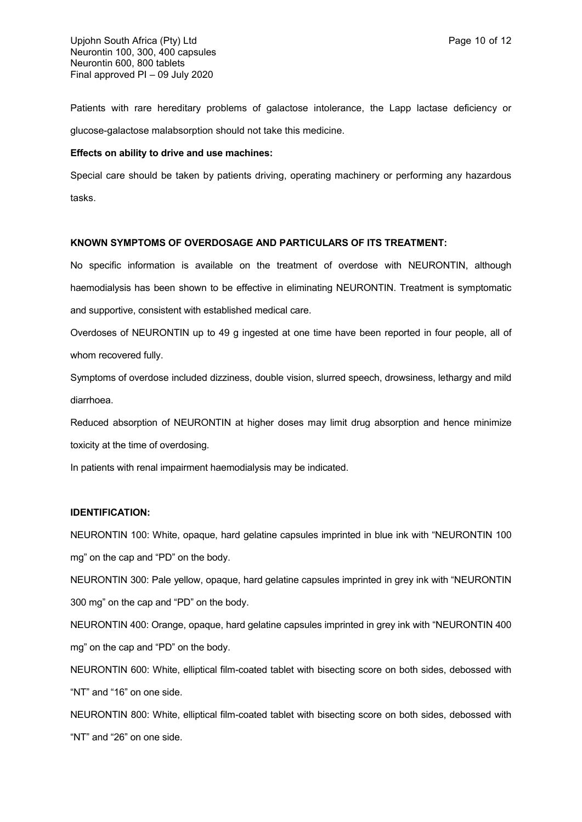Patients with rare hereditary problems of galactose intolerance, the Lapp lactase deficiency or glucose-galactose malabsorption should not take this medicine.

#### **Effects on ability to drive and use machines:**

Special care should be taken by patients driving, operating machinery or performing any hazardous tasks.

## **KNOWN SYMPTOMS OF OVERDOSAGE AND PARTICULARS OF ITS TREATMENT:**

No specific information is available on the treatment of overdose with NEURONTIN, although haemodialysis has been shown to be effective in eliminating NEURONTIN. Treatment is symptomatic and supportive, consistent with established medical care.

Overdoses of NEURONTIN up to 49 g ingested at one time have been reported in four people, all of whom recovered fully.

Symptoms of overdose included dizziness, double vision, slurred speech, drowsiness, lethargy and mild diarrhoea.

Reduced absorption of NEURONTIN at higher doses may limit drug absorption and hence minimize toxicity at the time of overdosing.

In patients with renal impairment haemodialysis may be indicated.

#### **IDENTIFICATION:**

NEURONTIN 100: White, opaque, hard gelatine capsules imprinted in blue ink with "NEURONTIN 100 mg" on the cap and "PD" on the body.

NEURONTIN 300: Pale yellow, opaque, hard gelatine capsules imprinted in grey ink with "NEURONTIN 300 mg" on the cap and "PD" on the body.

NEURONTIN 400: Orange, opaque, hard gelatine capsules imprinted in grey ink with "NEURONTIN 400 mg" on the cap and "PD" on the body.

NEURONTIN 600: White, elliptical film-coated tablet with bisecting score on both sides, debossed with "NT" and "16" on one side.

NEURONTIN 800: White, elliptical film-coated tablet with bisecting score on both sides, debossed with "NT" and "26" on one side.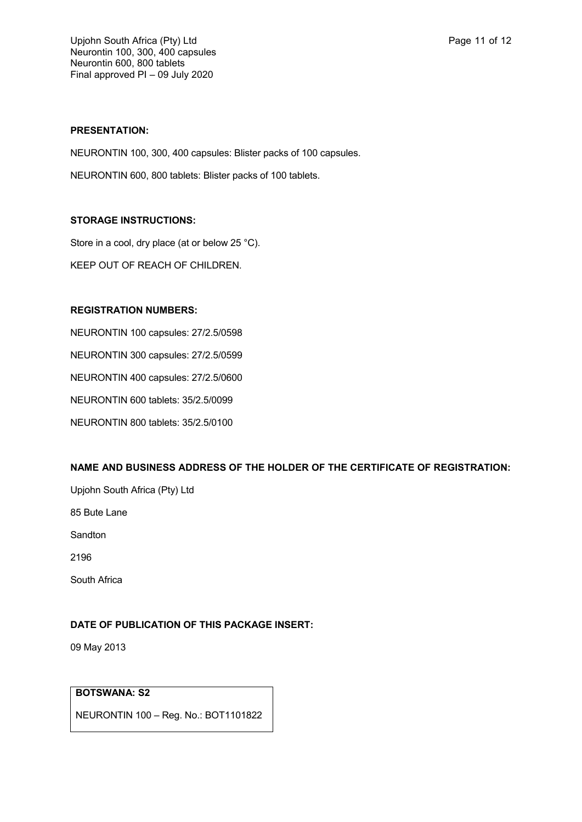Upjohn South Africa (Pty) Ltd **Page 11 of 12** Page 11 of 12 Neurontin 100, 300, 400 capsules Neurontin 600, 800 tablets Final approved PI – 09 July 2020

## **PRESENTATION:**

NEURONTIN 100, 300, 400 capsules: Blister packs of 100 capsules.

NEURONTIN 600, 800 tablets: Blister packs of 100 tablets.

## **STORAGE INSTRUCTIONS:**

Store in a cool, dry place (at or below 25 °C). KEEP OUT OF REACH OF CHILDREN.

# **REGISTRATION NUMBERS:**

NEURONTIN 100 capsules: 27/2.5/0598 NEURONTIN 300 capsules: 27/2.5/0599 NEURONTIN 400 capsules: 27/2.5/0600 NEURONTIN 600 tablets: 35/2.5/0099 NEURONTIN 800 tablets: 35/2.5/0100

## **NAME AND BUSINESS ADDRESS OF THE HOLDER OF THE CERTIFICATE OF REGISTRATION:**

Upjohn South Africa (Pty) Ltd

85 Bute Lane

Sandton

2196

South Africa

## **DATE OF PUBLICATION OF THIS PACKAGE INSERT:**

09 May 2013

# **BOTSWANA: S2**

NEURONTIN 100 – Reg. No.: BOT1101822